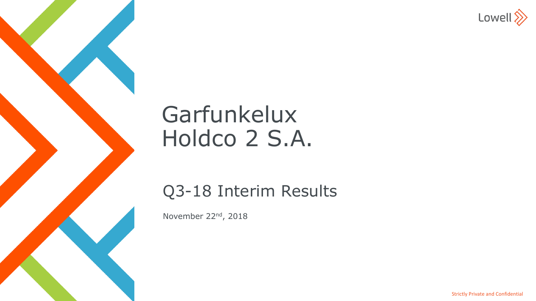

# Garfunkelux Holdco 2 S.A.

Q3-18 Interim Results

November 22nd, 2018

Strictly Private and Confidential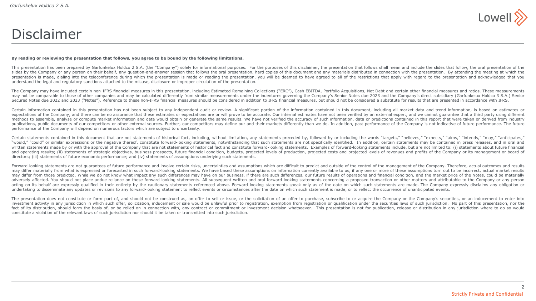

### Disclaimer

#### By reading or reviewing the presentation that follows, you agree to be bound by the following limitations.

This presentation has been prepared by Garfunkelux Holdco 2 S.A. (the "Company") solely for informational purposes. For the purposes of this disclaimer, the presentation that follows shall mean and include the slides that slides by the Company or any person on their behalf, any question-and-answer session that follows the oral presentation, hard copies of this document and any materials distributed in connection with the presentation. By at presentation is made, dialing into the teleconference during which the presentation is made or reading the presentation, you will be deemed to have agreed to all of the restrictions that apply with regard to the presentati understand the legal and regulatory sanctions attached to the misuse, disclosure or improper circulation of the presentation.

The Company may have included certain non-IFRS financial measures in this presentation, including Estimated Remaining Collections ("ERC"), Cash EBITDA, Portfolio Acquisitions, Net Debt and certain other financial measures may not be comparable to those of other companies and may be calculated differently from similar measurements under the indentures governing the Company's Senior Notes due 2023 and the Company's direct subsidiary (Garfunke Secured Notes due 2022 and 2023 ("Notes"), Reference to these non-IFRS financial measures should be considered in addition to IFRS financial measures, but should not be considered a substitute for results that are presente

Certain information contained in this presentation has not been subject to any independent audit or review. A significant portion of the information contained in this document, including all market data and trend informati expectations of the Company, and there can be no assurance that these estimates or expectations are or will prove to be accurate. Our internal estimates have not been verified by an external expert, and we cannot quarantee methods to assemble, analyse or compute market information and data would obtain or generate the same results. We have not verified the accuracy of such information, data or predictions contained in this report that were t publications, public documents of our competitors or other external sources. Further, our competitors may define our and their markets differently than we do. In addition, past performance of the Company is not indicative performance of the Company will depend on numerous factors which are subject to uncertainty.

Certain statements contained in this document that are not statements of historical fact, including, without limitation, any statements preceded by, followed by or including the words "targets," "believes," "expects," "aim "would," "could" or similar expressions or the negative thereof, constitute forward-looking statements, notwithstanding that such statements are not specifically identified. In addition, certain statements may be contained written statements made by or with the approval of the Company that are not statements of historical fact and constitute forward-looking statements. Examples of forward-looking statements include, but are not limited to: ( and operating results; (ii) statements of strategic objectives, business prospects, future financial condition, budgets, projected levels of production, projected costs and projected levels of revenues and profits of the C directors; (iii) statements of future economic performance; and (iv) statements of assumptions underlying such statements.

Forward-looking statements are not quarantees of future performance and involve certain risks, uncertainties and assumptions which are difficult to predict and outside of the control of the management of the Company. There may differ materially from what is expressed or forecasted in such forward-looking statements. We have based these assumptions on information currently available to us, if any one or more of these assumptions turn out to b may differ from those predicted. While we do not know what impact any such differences may have on our business, if there are such differences, our future results of operations and financial condition, and the market price adversely affected. You should not place undue reliance on these forward-looking statements. All subsequent written and oral forward-looking statements concerning a proposed transaction or other matters and attributable to acting on its behalf are expressly qualified in their entirety by the cautionary statements referenced above. Forward-looking statements speak only as of the date on which such statements are made. The Company expressly di undertaking to disseminate any updates or revisions to any forward-looking statement to reflect events or circumstances after the date on which such statement is made, or to reflect the occurrence of unanticipated events.

The presentation does not constitute or form part of, and should not be construed as, an offer to sell or issue, or the solicitation of an offer to purchase, subscribe to or acquire the Company or the Company's securities, investment activity in any jurisdiction in which such offer, solicitation, inducement or sale would be unlawful prior to registration, exemption from registration or qualification under the securities laws of such jurisdic fact of its distribution, should form the basis of, or be relied on in connection with, any contract or commitment or investment decision whatsoever. This presentation is not for publication, release or distribution in any constitute a violation of the relevant laws of such jurisdiction nor should it be taken or transmitted into such jurisdiction.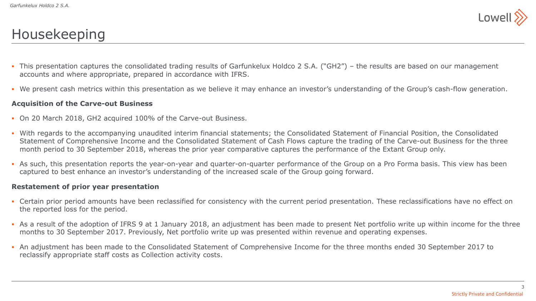

## Housekeeping

- This presentation captures the consolidated trading results of Garfunkelux Holdco 2 S.A. ("GH2") the results are based on our management accounts and where appropriate, prepared in accordance with IFRS.
- We present cash metrics within this presentation as we believe it may enhance an investor's understanding of the Group's cash-flow generation.

#### **Acquisition of the Carve-out Business**

- On 20 March 2018, GH2 acquired 100% of the Carve-out Business.
- With regards to the accompanying unaudited interim financial statements; the Consolidated Statement of Financial Position, the Consolidated Statement of Comprehensive Income and the Consolidated Statement of Cash Flows capture the trading of the Carve-out Business for the three month period to 30 September 2018, whereas the prior year comparative captures the performance of the Extant Group only.
- As such, this presentation reports the year-on-year and quarter-on-quarter performance of the Group on a Pro Forma basis. This view has been captured to best enhance an investor's understanding of the increased scale of the Group going forward.

#### **Restatement of prior year presentation**

- Certain prior period amounts have been reclassified for consistency with the current period presentation. These reclassifications have no effect on the reported loss for the period.
- As a result of the adoption of IFRS 9 at 1 January 2018, an adjustment has been made to present Net portfolio write up within income for the three months to 30 September 2017. Previously, Net portfolio write up was presented within revenue and operating expenses.
- An adjustment has been made to the Consolidated Statement of Comprehensive Income for the three months ended 30 September 2017 to reclassify appropriate staff costs as Collection activity costs.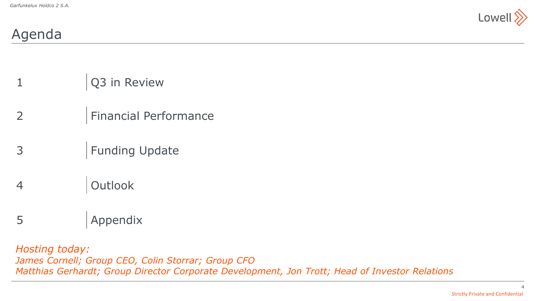

## Agenda

- 1 Q3 in Review
- 2 Financial Performance
- 3 | Funding Update
- 4 Outlook
- 5 Appendix

*Hosting today: James Cornell; Group CEO, Colin Storrar; Group CFO Matthias Gerhardt; Group Director Corporate Development, Jon Trott; Head of Investor Relations*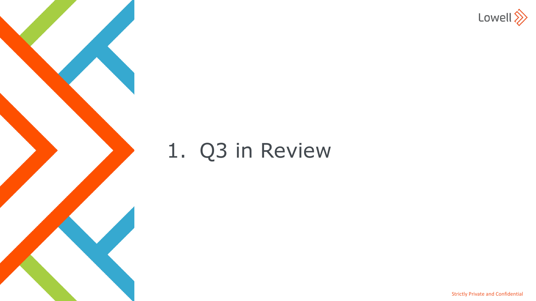

# 1. Q3 in Review

Strictly Private and Confidential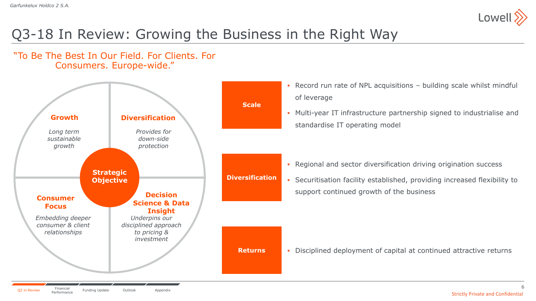

# Q3-18 In Review: Growing the Business in the Right Way



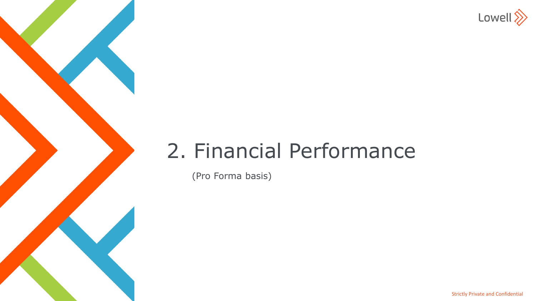

# 2. Financial Performance

(Pro Forma basis)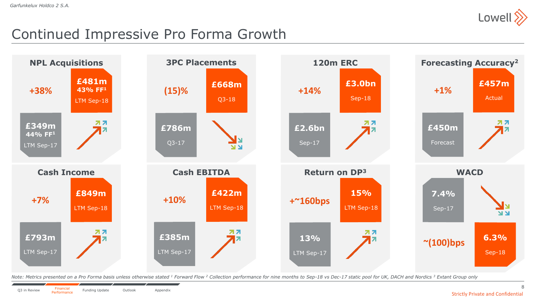

## Continued Impressive Pro Forma Growth



Note: Metrics presented on a Pro Forma basis unless otherwise stated <sup>1</sup> Forward Flow <sup>2</sup> Collection performance for nine months to Sep-18 vs Dec-17 static pool for UK, DACH and Nordics <sup>3</sup> Extant Group only

8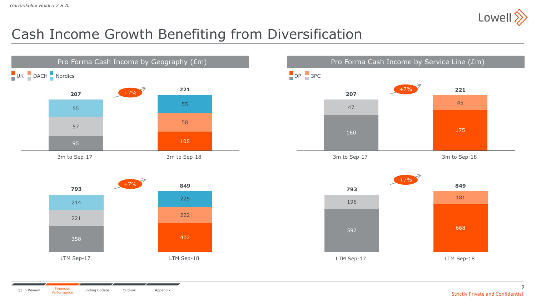

# Cash Income Growth Benefiting from Diversification



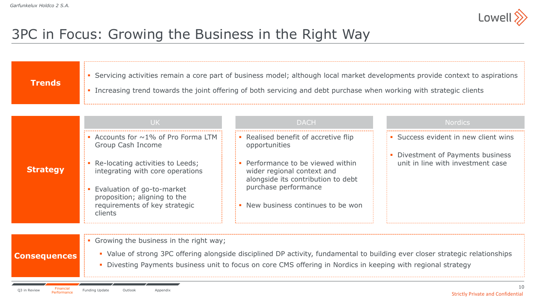

# 3PC in Focus: Growing the Business in the Right Way

|                 | UK.                                                                                                                                                                            | <b>DACH</b>                                                                                                                                                         | <b>Nordics</b>                                                         |
|-----------------|--------------------------------------------------------------------------------------------------------------------------------------------------------------------------------|---------------------------------------------------------------------------------------------------------------------------------------------------------------------|------------------------------------------------------------------------|
|                 | Accounts for $\sim$ 1% of Pro Forma LTM<br>Group Cash Income                                                                                                                   | • Realised benefit of accretive flip<br>opportunities                                                                                                               | • Success evident in new client wins                                   |
| <b>Strategy</b> | Re-locating activities to Leeds;<br>integrating with core operations<br>Evaluation of go-to-market<br>proposition; aligning to the<br>requirements of key strategic<br>clients | • Performance to be viewed within<br>wider regional context and<br>alongside its contribution to debt<br>purchase performance<br>• New business continues to be won | • Divestment of Payments business<br>unit in line with investment case |
|                 |                                                                                                                                                                                |                                                                                                                                                                     |                                                                        |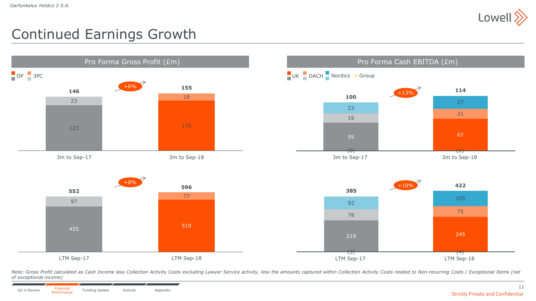

# Continued Earnings Growth



Note: Gross Profit calculated as Cash Income less Collection Activity Costs excluding Lawyer Service activity, less the amounts captured within Collection Activity Costs related to Non-recurring Costs / Exceptional Items ( *of exceptional income)*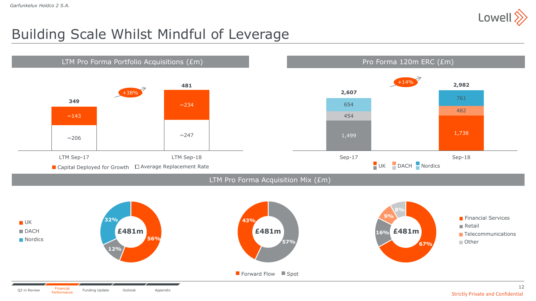

## Building Scale Whilst Mindful of Leverage

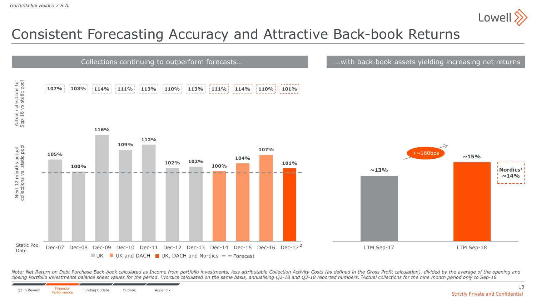

# Consistent Forecasting Accuracy and Attractive Back-book Returns



Note: Net Return on Debt Purchase Back-book calculated as Income from portfolio investments, less attributable Collection Activity Costs (as defined in the Gross Profit calculation), divided by the average of the opening a closing Portfolio investments balance sheet values for the period. <sup>1</sup>Nordics calculated on the same basis, annualising Q2-18 and Q3-18 reported numbers. <sup>2</sup>Actual collections for the nine month period only to Sep-18

13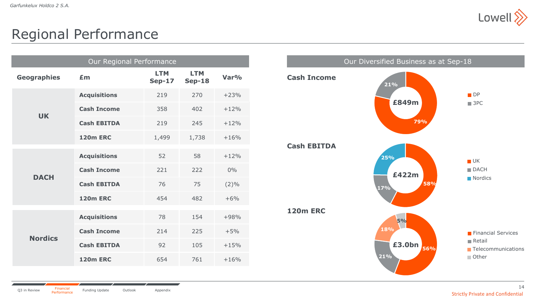

### Regional Performance

| Our Regional Performance |                     |                             |                             |         |  |  |
|--------------------------|---------------------|-----------------------------|-----------------------------|---------|--|--|
| <b>Geographies</b>       | £m                  | <b>LTM</b><br><b>Sep-17</b> | <b>LTM</b><br><b>Sep-18</b> | Var%    |  |  |
|                          | <b>Acquisitions</b> | 219                         | 270                         | $+23%$  |  |  |
| <b>UK</b>                | <b>Cash Income</b>  | 358                         | 402                         | $+12%$  |  |  |
|                          | <b>Cash EBITDA</b>  | 219                         | 245                         | $+12%$  |  |  |
|                          | <b>120m ERC</b>     | 1,499                       | 1,738                       | $+16%$  |  |  |
|                          | <b>Acquisitions</b> | 52                          | 58                          | $+12%$  |  |  |
| <b>DACH</b>              | <b>Cash Income</b>  | 221                         | 222                         | $0\%$   |  |  |
|                          | <b>Cash EBITDA</b>  | 76                          | 75                          | $(2)\%$ |  |  |
|                          | <b>120m ERC</b>     | 454                         | 482                         | $+6%$   |  |  |
|                          | <b>Acquisitions</b> | 78                          | 154                         | $+98%$  |  |  |
| <b>Nordics</b>           | <b>Cash Income</b>  | 214                         | 225                         | $+5%$   |  |  |
|                          | <b>Cash EBITDA</b>  | 92                          | 105                         | $+15%$  |  |  |
|                          | <b>120m ERC</b>     | 654                         | 761                         | $+16%$  |  |  |

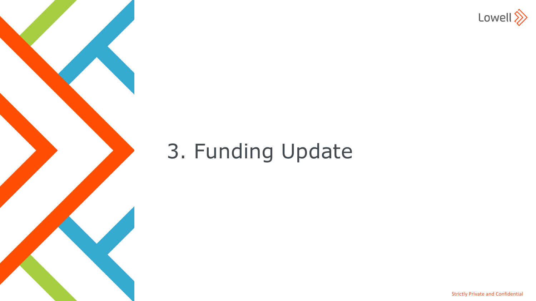

# 3. Funding Update

Strictly Private and Confidential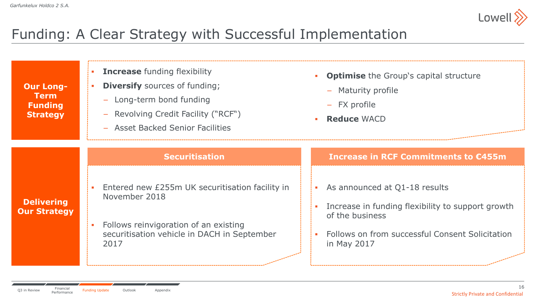

# Funding: A Clear Strategy with Successful Implementation

| <b>Our Long-</b><br><b>Term</b><br><b>Funding</b><br><b>Strategy</b> | <b>Increase</b> funding flexibility<br><b>Diversify</b> sources of funding;<br>Long-term bond funding<br>$\overline{\phantom{m}}$<br>Revolving Credit Facility ("RCF")<br>- Asset Backed Senior Facilities | <b>Optimise</b> the Group's capital structure<br>- Maturity profile<br>- FX profile<br><b>Reduce WACD</b> |
|----------------------------------------------------------------------|------------------------------------------------------------------------------------------------------------------------------------------------------------------------------------------------------------|-----------------------------------------------------------------------------------------------------------|
|                                                                      | <b>Securitisation</b>                                                                                                                                                                                      | Increase in RCF Commitments to €455m                                                                      |
| <b>Delivering</b><br><b>Our Strategy</b>                             | Entered new £255m UK securitisation facility in<br>$\sim$<br>November 2018                                                                                                                                 | As announced at Q1-18 results<br>Increase in funding flexibility to support growth<br>of the business     |
|                                                                      | Follows reinvigoration of an existing<br>$\overline{\phantom{a}}$<br>securitisation vehicle in DACH in September<br>2017                                                                                   | Follows on from successful Consent Solicitation<br>in May 2017                                            |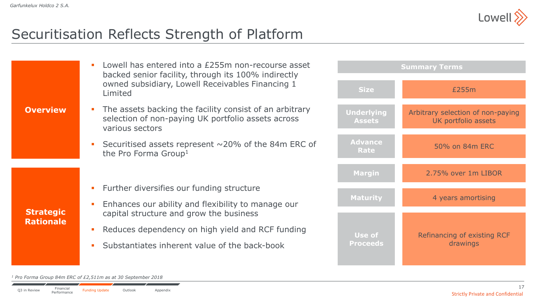

## Securitisation Reflects Strength of Platform

|                  | Lowell has entered into a £255m non-recourse asset<br>$\mathcal{L}_{\mathrm{eff}}$<br>backed senior facility, through its 100% indirectly<br>owned subsidiary, Lowell Receivables Financing 1 | <b>Summary Terms</b>               |                                                          |  |  |
|------------------|-----------------------------------------------------------------------------------------------------------------------------------------------------------------------------------------------|------------------------------------|----------------------------------------------------------|--|--|
|                  | Limited                                                                                                                                                                                       | <b>Size</b>                        | £255m                                                    |  |  |
| <b>Overview</b>  | The assets backing the facility consist of an arbitrary<br>$\blacksquare$<br>selection of non-paying UK portfolio assets across<br>various sectors                                            | <b>Underlying</b><br><b>Assets</b> | Arbitrary selection of non-paying<br>UK portfolio assets |  |  |
|                  | Securitised assets represent $\sim$ 20% of the 84m ERC of<br>$\mathcal{L}_{\rm{eff}}$<br>the Pro Forma Group <sup>1</sup>                                                                     | <b>Advance</b><br>Rate             | 50% on 84m ERC                                           |  |  |
|                  |                                                                                                                                                                                               | <b>Margin</b>                      | 2.75% over 1m LIBOR                                      |  |  |
|                  | Further diversifies our funding structure<br>$\mathcal{L}_{\mathcal{A}}$                                                                                                                      |                                    |                                                          |  |  |
| <b>Strategic</b> | Enhances our ability and flexibility to manage our<br>$\mathcal{C}$<br>capital structure and grow the business                                                                                | <b>Maturity</b>                    | 4 years amortising                                       |  |  |
| <b>Rationale</b> | Reduces dependency on high yield and RCF funding<br>$\mathcal{L}_{\mathcal{A}}$                                                                                                               |                                    |                                                          |  |  |
|                  | Substantiates inherent value of the back-book<br>$\mathcal{L}_{\mathcal{A}}$                                                                                                                  | Use of<br><b>Proceeds</b>          | Refinancing of existing RCF<br>drawings                  |  |  |
|                  |                                                                                                                                                                                               |                                    |                                                          |  |  |

*<sup>1</sup> Pro Forma Group 84m ERC of £2,511m as at 30 September 2018*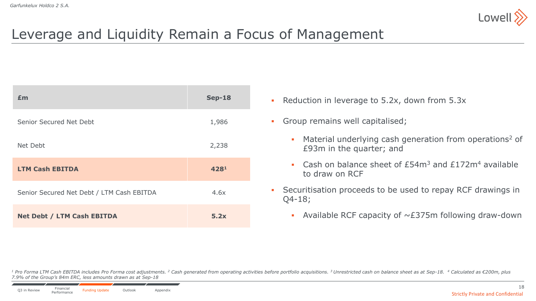

# Leverage and Liquidity Remain a Focus of Management

| Em                                        | <b>Sep-18</b> |
|-------------------------------------------|---------------|
| Senior Secured Net Debt                   | 1,986         |
| Net Debt                                  | 2,238         |
| <b>LTM Cash EBITDA</b>                    | 4281          |
| Senior Secured Net Debt / LTM Cash EBITDA | 4.6x          |
| <b>Net Debt / LTM Cash EBITDA</b>         | 5.2x          |

- **Reduction in leverage to 5.2x, down from 5.3x**
- Group remains well capitalised;
	- Material underlying cash generation from operations<sup>2</sup> of £93m in the quarter; and
	- Cash on balance sheet of  $£54m<sup>3</sup>$  and  $£172m<sup>4</sup>$  available to draw on RCF
- Securitisation proceeds to be used to repay RCF drawings in Q4-18;
	- Available RCF capacity of  $\sim$  £375m following draw-down

<sup>1</sup> Pro Forma LTM Cash EBITDA includes Pro Forma cost adjustments. <sup>2</sup> Cash generated from operating activities before portfolio acquisitions. <sup>3</sup> Unrestricted cash on balance sheet as at Sep-18. <sup>4</sup> Calculated as €200m, *7.9% of the Group's 84m ERC, less amounts drawn as at Sep-18* 

18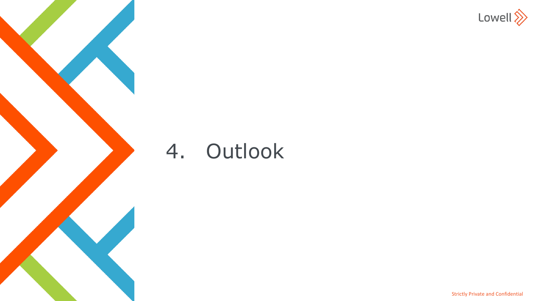

# 4. Outlook

Strictly Private and Confidential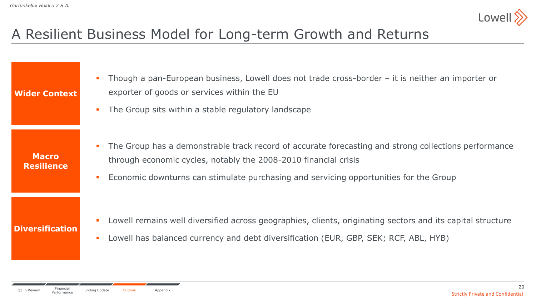

# A Resilient Business Model for Long-term Growth and Returns

| <b>Wider Context</b>              | Though a pan-European business, Lowell does not trade cross-border $-$ it is neither an importer or<br>exporter of goods or services within the EU<br>The Group sits within a stable regulatory landscape                                                        |
|-----------------------------------|------------------------------------------------------------------------------------------------------------------------------------------------------------------------------------------------------------------------------------------------------------------|
| <b>Macro</b><br><b>Resilience</b> | The Group has a demonstrable track record of accurate forecasting and strong collections performance<br>through economic cycles, notably the 2008-2010 financial crisis<br>Economic downturns can stimulate purchasing and servicing opportunities for the Group |
| <b>Diversification</b>            | Lowell remains well diversified across geographies, clients, originating sectors and its capital structure<br>Lowell has balanced currency and debt diversification (EUR, GBP, SEK; RCF, ABL, HYB)                                                               |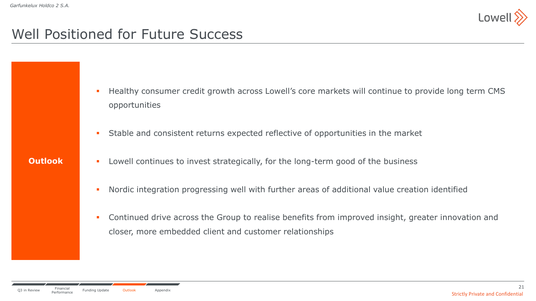

### Well Positioned for Future Success

- **Healthy consumer credit growth across Lowell's core markets will continue to provide long term CMS** opportunities
- Stable and consistent returns expected reflective of opportunities in the market

- **Outlook**
- **EXECT** Lowell continues to invest strategically, for the long-term good of the business
	- Nordic integration progressing well with further areas of additional value creation identified
	- **Continued drive across the Group to realise benefits from improved insight, greater innovation and** closer, more embedded client and customer relationships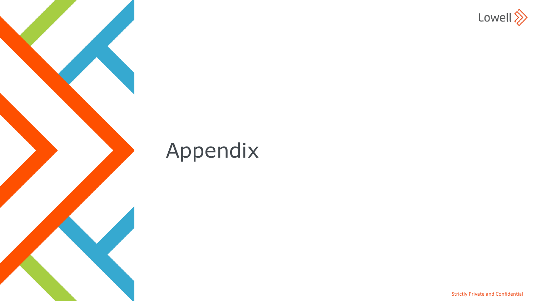

# Appendix

Strictly Private and Confidential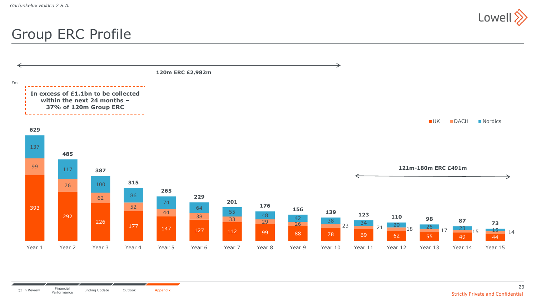

### Group ERC Profile

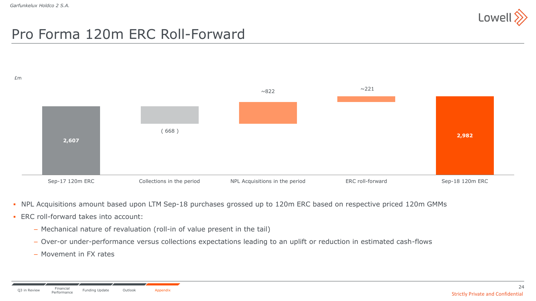

# Pro Forma 120m ERC Roll-Forward



- NPL Acquisitions amount based upon LTM Sep-18 purchases grossed up to 120m ERC based on respective priced 120m GMMs
- $\blacksquare$  FRC roll-forward takes into account:
	- − Mechanical nature of revaluation (roll-in of value present in the tail)
	- − Over-or under-performance versus collections expectations leading to an uplift or reduction in estimated cash-flows
	- − Movement in FX rates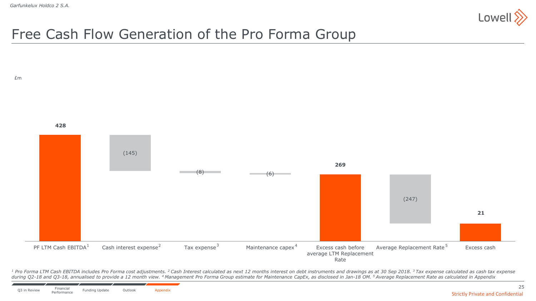

# Free Cash Flow Generation of the Pro Forma Group



<sup>1</sup> Pro Forma LTM Cash EBITDA includes Pro Forma cost adjustments. <sup>2</sup> Cash Interest calculated as next 12 months interest on debt instruments and drawings as at 30 Sep 2018. <sup>3</sup> Tax expense calculated as cash tax expense during Q2-18 and Q3-18, annualised to provide a 12 month view. <sup>4</sup> Management Pro Forma Group estimate for Maintenance CapEx, as disclosed in Jan-18 OM. <sup>5</sup> Average Replacement Rate as calculated in Appendix

25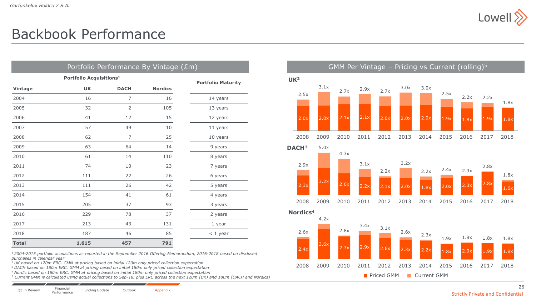

## Backbook Performance

| Portfolio Performance By Vintage (£m) |                                     |                           |                |            |  |  |
|---------------------------------------|-------------------------------------|---------------------------|----------------|------------|--|--|
|                                       | Portfolio Acquisitions <sup>1</sup> | <b>Portfolio Maturity</b> |                |            |  |  |
| <b>Vintage</b>                        | <b>UK</b>                           | <b>DACH</b>               | <b>Nordics</b> |            |  |  |
| 2004                                  | 16                                  | 7                         | 16             | 14 years   |  |  |
| 2005                                  | 32                                  | $\overline{2}$            | 105            | 13 years   |  |  |
| 2006                                  | 41                                  | 12                        | 15             | 12 years   |  |  |
| 2007                                  | 57                                  | 49                        | 10             | 11 years   |  |  |
| 2008                                  | 62                                  | 7                         | 25             | 10 years   |  |  |
| 2009                                  | 63                                  | 64                        | 14             | 9 years    |  |  |
| 2010                                  | 61                                  | 14                        | 110            | 8 years    |  |  |
| 2011                                  | 74                                  | 10                        | 23             | 7 years    |  |  |
| 2012                                  | 111                                 | 22                        | 26             | 6 years    |  |  |
| 2013                                  | 111                                 | 26                        | 42             | 5 years    |  |  |
| 2014                                  | 154                                 | 41                        | 61             | 4 years    |  |  |
| 2015                                  | 205                                 | 37                        | 93             | 3 years    |  |  |
| 2016                                  | 229                                 | 78                        | 37             | 2 years    |  |  |
| 2017                                  | 213                                 | 43                        | 131            | 1 year     |  |  |
| 2018                                  | 187                                 | 46                        | 85             | $<$ 1 year |  |  |
| <b>Total</b>                          | 1,615                               | 457                       | 791            |            |  |  |

*<sup>1</sup>2004-2015 portfolio acquisitions as reported in the September 2016 Offering Memorandum, 2016-2018 based on disclosed purchases in calendar year* 

*<sup>2</sup>UK based on 120m ERC. GMM at pricing based on initial 120m only priced collection expectation*

*<sup>3</sup>DACH based on 180m ERC. GMM at pricing based on initial 180m only priced collection expectation*

*<sup>4</sup>Nordic based on 180m ERC. GMM at pricing based on initial 180m only priced collection expectation*

*<sup>5</sup> Current GMM is calculated using actual collections to Sep-18, plus ERC across the next 120m (UK) and 180m (DACH and Nordics)*



**Priced GMM Current GMM**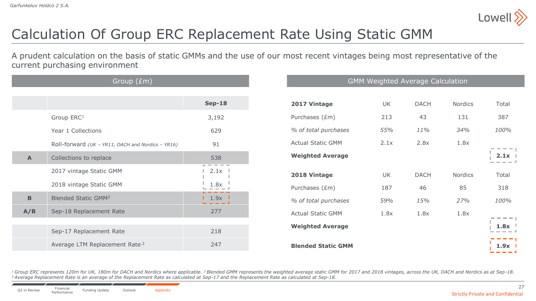

# Calculation Of Group ERC Replacement Rate Using Static GMM

A prudent calculation on the basis of static GMMs and the use of our most recent vintages being most representative of the current purchasing environment

| Group (£m)       |                                                   |                                    | <b>GMM Weighted Average Calculation</b> |           |             |         |  |
|------------------|---------------------------------------------------|------------------------------------|-----------------------------------------|-----------|-------------|---------|--|
|                  |                                                   | <b>Sep-18</b>                      | 2017 Vintage                            | <b>UK</b> | <b>DACH</b> | Nordics |  |
|                  | Group ERC <sup>1</sup>                            | 3,192                              | Purchases (£m)                          | 213       | 43          | 131     |  |
|                  | Year 1 Collections                                | 629                                | % of total purchases                    | 55%       | 11%         | 34%     |  |
|                  | Roll-forward (UK - YR11, DACH and Nordics - YR16) | 91                                 | <b>Actual Static GMM</b>                | 2.1x      | 2.8x        | 1.8x    |  |
| $\blacktriangle$ | Collections to replace                            | 538                                | <b>Weighted Average</b>                 |           |             |         |  |
|                  | 2017 vintage Static GMM                           | 2.1x                               | 2018 Vintage                            | UK        | <b>DACH</b> | Nordics |  |
|                  | 2018 vintage Static GMM                           | 1.8x                               | Purchases (£m)                          | 187       | 46          | 85      |  |
| $\mathbf B$      | <b>Blended Static GMM2</b>                        | $1.9x$ $\blacksquare$<br>والمستحدث | % of total purchases                    | 59%       | 15%         | 27%     |  |
| A/B              | Sep-18 Replacement Rate                           | 277                                | <b>Actual Static GMM</b>                | 1.8x      | 1.8x        | 1.8x    |  |
|                  | Sep-17 Replacement Rate                           | 218                                | <b>Weighted Average</b>                 |           |             |         |  |
|                  | Average LTM Replacement Rate <sup>3</sup>         | 247                                | <b>Blended Static GMM</b>               |           |             |         |  |

<sup>1</sup> Group ERC represents 120m for UK, 180m for DACH and Nordics where applicable. <sup>2</sup> Blended GMM represents the weighted average static GMM for 2017 and 2018 vintages, across the UK, DACH and Nordics as at Sep-18. *<sup>3</sup>Average Replacement Rate is an average of the Replacement Rate as calculated at Sep-17 and the Replacement Rate as calculated at Sep-18.*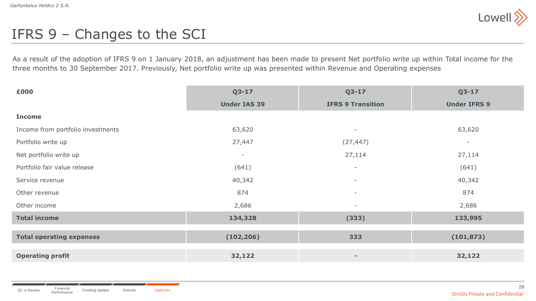

# IFRS 9 – Changes to the SCI

As a result of the adoption of IFRS 9 on 1 January 2018, an adjustment has been made to present Net portfolio write up within Total income for the three months to 30 September 2017. Previously, Net portfolio write up was presented within Revenue and Operating expenses

| £000                              | $Q3 - 17$                | $Q3 - 17$                | $Q3-17$                  |
|-----------------------------------|--------------------------|--------------------------|--------------------------|
|                                   | <b>Under IAS 39</b>      | <b>IFRS 9 Transition</b> | <b>Under IFRS 9</b>      |
| <b>Income</b>                     |                          |                          |                          |
| Income from portfolio investments | 63,620                   | $\overline{\phantom{a}}$ | 63,620                   |
| Portfolio write up                | 27,447                   | (27, 447)                | $\overline{\phantom{a}}$ |
| Net portfolio write up            | $\overline{\phantom{a}}$ | 27,114                   | 27,114                   |
| Portfolio fair value release      | (641)                    | $\overline{\phantom{a}}$ | (641)                    |
| Service revenue                   | 40,342                   | $\overline{\phantom{a}}$ | 40,342                   |
| Other revenue                     | 874                      | $\overline{\phantom{a}}$ | 874                      |
| Other income                      | 2,686                    | $\overline{\phantom{a}}$ | 2,686                    |
| <b>Total income</b>               | 134,328                  | (333)                    | 133,995                  |
|                                   |                          |                          |                          |
| <b>Total operating expenses</b>   | (102, 206)               | 333                      | (101, 873)               |
| <b>Operating profit</b>           | 32,122                   | $\qquad \qquad =$        | 32,122                   |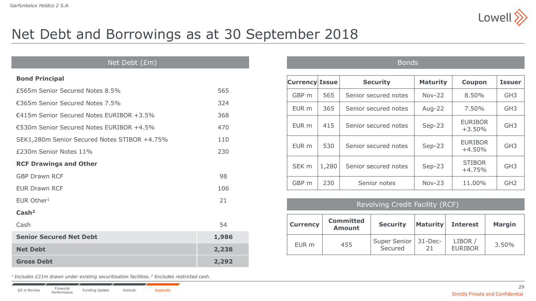

## Net Debt and Borrowings as at 30 September 2018

#### Net Debt (£m)

#### **Bond Principal**

| £565m Senior Secured Notes 8.5%              | 565   |
|----------------------------------------------|-------|
| €365m Senior Secured Notes 7.5%              | 324   |
| €415m Senior Secured Notes EURIBOR +3.5%     | 368   |
| €530m Senior Secured Notes EURIBOR +4.5%     | 470   |
| SEK1,280m Senior Secured Notes STIBOR +4.75% | 110   |
| £230m Senior Notes 11%                       | 230   |
| <b>RCF Drawings and Other</b>                |       |
| <b>GBP Drawn RCF</b>                         | 98    |
| <b>EUR Drawn RCF</b>                         | 106   |
| EUR Other <sup>1</sup>                       | 21    |
| Cash <sup>2</sup>                            |       |
| Cash                                         | 54    |
| <b>Senior Secured Net Debt</b>               | 1,986 |
| <b>Net Debt</b>                              | 2,238 |
| <b>Gross Debt</b>                            | 2,292 |

*<sup>1</sup>Includes £21m drawn under existing securitisation facilities. <sup>2</sup> Excludes restricted cash.* 

| <b>Currency Issue</b> |       | <b>Security</b>      | <b>Maturity</b> | <b>Coupon</b>               | <b>Issuer</b>   |
|-----------------------|-------|----------------------|-----------------|-----------------------------|-----------------|
| GBP m                 | 565   | Senior secured notes | $Nov-22$        | 8.50%                       | GH <sub>3</sub> |
| EUR m                 | 365   | Senior secured notes | Aug-22          | 7.50%                       | GH <sub>3</sub> |
| EUR m                 | 415   | Senior secured notes | $Sep-23$        | <b>EURIBOR</b><br>$+3.50\%$ | GH <sub>3</sub> |
| EUR m                 | 530   | Senior secured notes | $Sep-23$        | <b>EURIBOR</b><br>$+4.50%$  | GH <sub>3</sub> |
| SEK <sub>m</sub>      | 1,280 | Senior secured notes | $Sep-23$        | <b>STIBOR</b><br>$+4.75%$   | GH <sub>3</sub> |
| GBP m                 | 230   | Senior notes         | $Nov-23$        | 11.00%                      | GH <sub>2</sub> |
|                       |       |                      |                 |                             |                 |

Bonds

#### Revolving Credit Facility (RCF)

| <b>Currency</b> | <b>Committed</b><br><b>Amount</b> | <b>Security</b>                   | <b>Maturity</b> | <b>Interest</b>           | <b>Margin</b> |
|-----------------|-----------------------------------|-----------------------------------|-----------------|---------------------------|---------------|
| EUR m           | 455                               | Super Senior   31-Dec-<br>Secured |                 | LIBOR /<br><b>EURIBOR</b> | 3.50%         |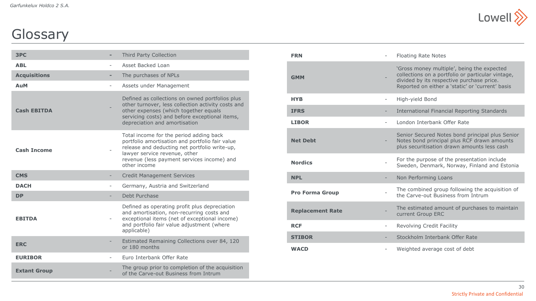

# **Glossary**

| 3PC                 |                          | Third Party Collection                                                                                                                                                                                                                     |
|---------------------|--------------------------|--------------------------------------------------------------------------------------------------------------------------------------------------------------------------------------------------------------------------------------------|
| <b>ABL</b>          |                          | Asset Backed Loan                                                                                                                                                                                                                          |
| <b>Acquisitions</b> |                          | The purchases of NPLs                                                                                                                                                                                                                      |
| AuM                 | $\overline{\phantom{0}}$ | Assets under Management                                                                                                                                                                                                                    |
| <b>Cash EBITDA</b>  |                          | Defined as collections on owned portfolios plus<br>other turnover, less collection activity costs and<br>other expenses (which together equals<br>servicing costs) and before exceptional items,<br>depreciation and amortisation          |
| <b>Cash Income</b>  |                          | Total income for the period adding back<br>portfolio amortisation and portfolio fair value<br>release and deducting net portfolio write-up,<br>lawyer service revenue, other<br>revenue (less payment services income) and<br>other income |
| <b>CMS</b>          |                          | <b>Credit Management Services</b>                                                                                                                                                                                                          |
| <b>DACH</b>         | $\overline{\phantom{a}}$ | Germany, Austria and Switzerland                                                                                                                                                                                                           |
| <b>DP</b>           |                          | Debt Purchase                                                                                                                                                                                                                              |
| <b>EBITDA</b>       | $\overline{\phantom{a}}$ | Defined as operating profit plus depreciation<br>and amortisation, non-recurring costs and<br>exceptional items (net of exceptional income)<br>and portfolio fair value adjustment (where<br>applicable)                                   |
| <b>ERC</b>          |                          | Estimated Remaining Collections over 84, 120<br>or 180 months                                                                                                                                                                              |
| <b>EURIBOR</b>      |                          | Euro Interbank Offer Rate                                                                                                                                                                                                                  |
| <b>Extant Group</b> |                          | The group prior to completion of the acquisition<br>of the Carve-out Business from Intrum                                                                                                                                                  |

| <b>FRN</b>              | $\overline{\phantom{a}}$ | <b>Floating Rate Notes</b>                                                                                                                                                                       |
|-------------------------|--------------------------|--------------------------------------------------------------------------------------------------------------------------------------------------------------------------------------------------|
| <b>GMM</b>              |                          | 'Gross money multiple', being the expected<br>collections on a portfolio or particular vintage,<br>divided by its respective purchase price.<br>Reported on either a 'static' or 'current' basis |
| <b>HYB</b>              |                          | High-yield Bond                                                                                                                                                                                  |
| <b>IFRS</b>             |                          | International Financial Reporting Standards                                                                                                                                                      |
| <b>LIBOR</b>            | $\overline{\phantom{a}}$ | London Interbank Offer Rate                                                                                                                                                                      |
| <b>Net Debt</b>         |                          | Senior Secured Notes bond principal plus Senior<br>Notes bond principal plus RCF drawn amounts<br>plus securitisation drawn amounts less cash                                                    |
| <b>Nordics</b>          |                          | For the purpose of the presentation include<br>Sweden, Denmark, Norway, Finland and Estonia                                                                                                      |
| <b>NPL</b>              |                          | Non Performing Loans                                                                                                                                                                             |
| <b>Pro Forma Group</b>  |                          | The combined group following the acquisition of<br>the Carve-out Business from Intrum                                                                                                            |
| <b>Replacement Rate</b> |                          | The estimated amount of purchases to maintain<br>current Group ERC                                                                                                                               |
| <b>RCF</b>              | $\overline{\phantom{0}}$ | Revolving Credit Facility                                                                                                                                                                        |
|                         |                          |                                                                                                                                                                                                  |
| <b>STIBOR</b>           |                          | Stockholm Interbank Offer Rate                                                                                                                                                                   |